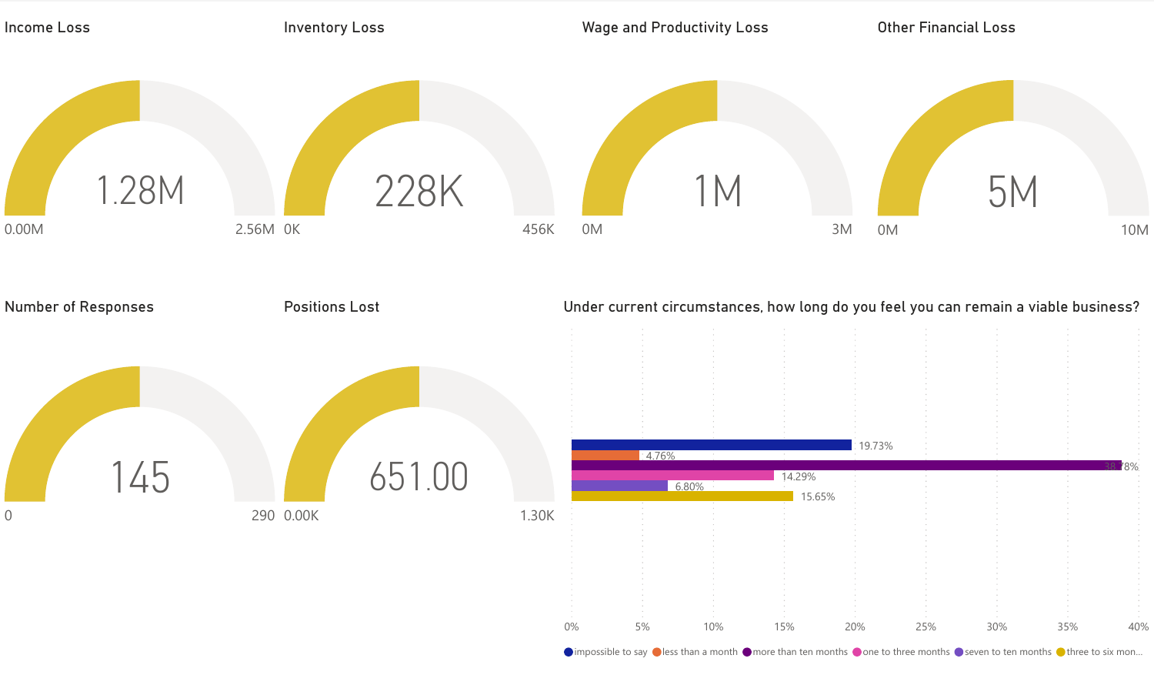

 $\bullet$  impossible to say  $\bullet$  less than a month  $\bullet$  more than ten months  $\bullet$  one to three months  $\bullet$  seven to ten months  $\bullet$  three to six mon...